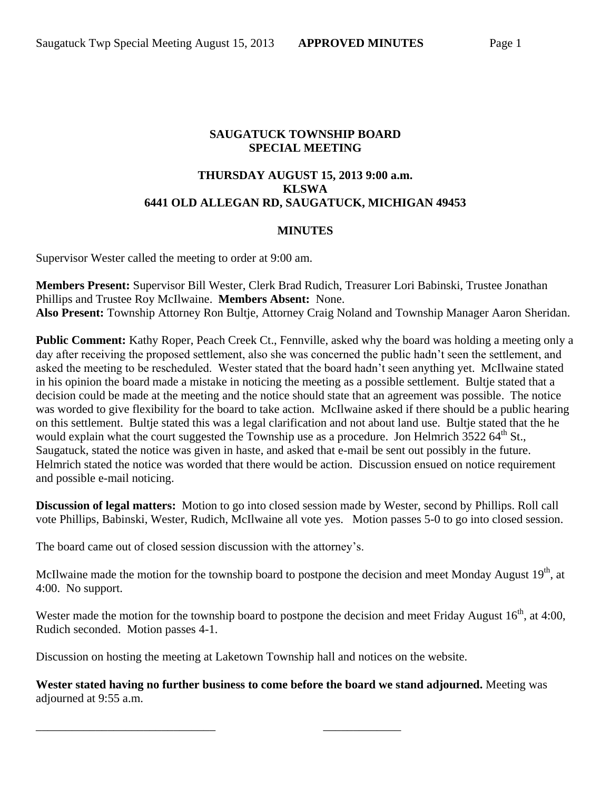## **SAUGATUCK TOWNSHIP BOARD SPECIAL MEETING**

## **THURSDAY AUGUST 15, 2013 9:00 a.m. KLSWA 6441 OLD ALLEGAN RD, SAUGATUCK, MICHIGAN 49453**

## **MINUTES**

Supervisor Wester called the meeting to order at 9:00 am.

**Members Present:** Supervisor Bill Wester, Clerk Brad Rudich, Treasurer Lori Babinski, Trustee Jonathan Phillips and Trustee Roy McIlwaine. **Members Absent:** None. **Also Present:** Township Attorney Ron Bultje, Attorney Craig Noland and Township Manager Aaron Sheridan.

**Public Comment:** Kathy Roper, Peach Creek Ct., Fennville, asked why the board was holding a meeting only a day after receiving the proposed settlement, also she was concerned the public hadn't seen the settlement, and asked the meeting to be rescheduled. Wester stated that the board hadn't seen anything yet. McIlwaine stated in his opinion the board made a mistake in noticing the meeting as a possible settlement. Bultje stated that a decision could be made at the meeting and the notice should state that an agreement was possible. The notice was worded to give flexibility for the board to take action. McIlwaine asked if there should be a public hearing on this settlement. Bultje stated this was a legal clarification and not about land use. Bultje stated that the he would explain what the court suggested the Township use as a procedure. Jon Helmrich  $3522.64^{\text{th}}$  St., Saugatuck, stated the notice was given in haste, and asked that e-mail be sent out possibly in the future. Helmrich stated the notice was worded that there would be action. Discussion ensued on notice requirement and possible e-mail noticing.

**Discussion of legal matters:** Motion to go into closed session made by Wester, second by Phillips. Roll call vote Phillips, Babinski, Wester, Rudich, McIlwaine all vote yes. Motion passes 5-0 to go into closed session.

The board came out of closed session discussion with the attorney's.

McIlwaine made the motion for the township board to postpone the decision and meet Monday August  $19<sup>th</sup>$ , at 4:00. No support.

Wester made the motion for the township board to postpone the decision and meet Friday August  $16<sup>th</sup>$ , at 4:00, Rudich seconded. Motion passes 4-1.

Discussion on hosting the meeting at Laketown Township hall and notices on the website.

\_\_\_\_\_\_\_\_\_\_\_\_\_\_\_\_\_\_\_\_\_\_\_\_\_\_\_\_\_\_ \_\_\_\_\_\_\_\_\_\_\_\_\_

**Wester stated having no further business to come before the board we stand adjourned.** Meeting was adjourned at 9:55 a.m.